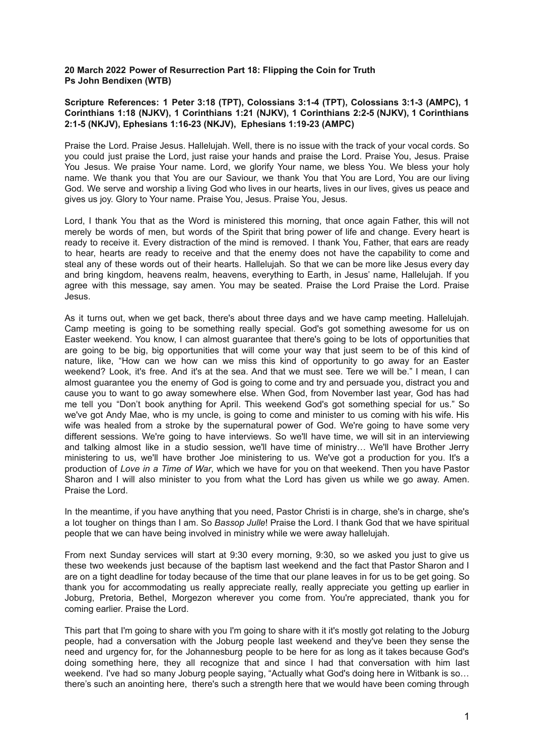# **20 March 2022 Power of Resurrection Part 18: Flipping the Coin for Truth Ps John Bendixen (WTB)**

# **Scripture References: 1 Peter 3:18 (TPT), Colossians 3:1-4 (TPT), Colossians 3:1-3 (AMPC), 1 Corinthians 1:18 (NJKV), 1 Corinthians 1:21 (NJKV), 1 Corinthians 2:2-5 (NJKV), 1 Corinthians 2:1-5 (NKJV), Ephesians 1:16-23 (NKJV), Ephesians 1:19-23 (AMPC)**

Praise the Lord. Praise Jesus. Hallelujah. Well, there is no issue with the track of your vocal cords. So you could just praise the Lord, just raise your hands and praise the Lord. Praise You, Jesus. Praise You Jesus. We praise Your name. Lord, we glorify Your name, we bless You. We bless your holy name. We thank you that You are our Saviour, we thank You that You are Lord, You are our living God. We serve and worship a living God who lives in our hearts, lives in our lives, gives us peace and gives us joy. Glory to Your name. Praise You, Jesus. Praise You, Jesus.

Lord, I thank You that as the Word is ministered this morning, that once again Father, this will not merely be words of men, but words of the Spirit that bring power of life and change. Every heart is ready to receive it. Every distraction of the mind is removed. I thank You, Father, that ears are ready to hear, hearts are ready to receive and that the enemy does not have the capability to come and steal any of these words out of their hearts. Hallelujah. So that we can be more like Jesus every day and bring kingdom, heavens realm, heavens, everything to Earth, in Jesus' name, Hallelujah. If you agree with this message, say amen. You may be seated. Praise the Lord Praise the Lord. Praise Jesus.

As it turns out, when we get back, there's about three days and we have camp meeting. Hallelujah. Camp meeting is going to be something really special. God's got something awesome for us on Easter weekend. You know, I can almost guarantee that there's going to be lots of opportunities that are going to be big, big opportunities that will come your way that just seem to be of this kind of nature, like, "How can we how can we miss this kind of opportunity to go away for an Easter weekend? Look, it's free. And it's at the sea. And that we must see. Tere we will be." I mean, I can almost guarantee you the enemy of God is going to come and try and persuade you, distract you and cause you to want to go away somewhere else. When God, from November last year, God has had me tell you "Don't book anything for April. This weekend God's got something special for us." So we've got Andy Mae, who is my uncle, is going to come and minister to us coming with his wife. His wife was healed from a stroke by the supernatural power of God. We're going to have some very different sessions. We're going to have interviews. So we'll have time, we will sit in an interviewing and talking almost like in a studio session, we'll have time of ministry… We'll have Brother Jerry ministering to us, we'll have brother Joe ministering to us. We've got a production for you. It's a production of *Love in a Time of War*, which we have for you on that weekend. Then you have Pastor Sharon and I will also minister to you from what the Lord has given us while we go away. Amen. Praise the Lord.

In the meantime, if you have anything that you need, Pastor Christi is in charge, she's in charge, she's a lot tougher on things than I am. So *Bassop Julle*! Praise the Lord. I thank God that we have spiritual people that we can have being involved in ministry while we were away hallelujah.

From next Sunday services will start at 9:30 every morning, 9:30, so we asked you just to give us these two weekends just because of the baptism last weekend and the fact that Pastor Sharon and I are on a tight deadline for today because of the time that our plane leaves in for us to be get going. So thank you for accommodating us really appreciate really, really appreciate you getting up earlier in Joburg, Pretoria, Bethel, Morgezon wherever you come from. You're appreciated, thank you for coming earlier. Praise the Lord.

This part that I'm going to share with you I'm going to share with it it's mostly got relating to the Joburg people, had a conversation with the Joburg people last weekend and they've been they sense the need and urgency for, for the Johannesburg people to be here for as long as it takes because God's doing something here, they all recognize that and since I had that conversation with him last weekend. I've had so many Joburg people saying, "Actually what God's doing here in Witbank is so… there's such an anointing here, there's such a strength here that we would have been coming through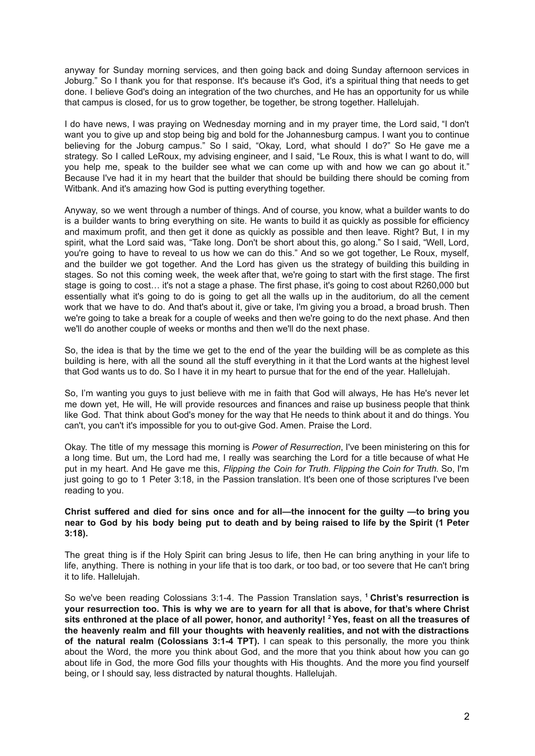anyway for Sunday morning services, and then going back and doing Sunday afternoon services in Joburg." So I thank you for that response. It's because it's God, it's a spiritual thing that needs to get done. I believe God's doing an integration of the two churches, and He has an opportunity for us while that campus is closed, for us to grow together, be together, be strong together. Hallelujah.

I do have news, I was praying on Wednesday morning and in my prayer time, the Lord said, "I don't want you to give up and stop being big and bold for the Johannesburg campus. I want you to continue believing for the Joburg campus." So I said, "Okay, Lord, what should I do?" So He gave me a strategy. So I called LeRoux, my advising engineer, and I said, "Le Roux, this is what I want to do, will you help me, speak to the builder see what we can come up with and how we can go about it." Because I've had it in my heart that the builder that should be building there should be coming from Witbank. And it's amazing how God is putting everything together.

Anyway, so we went through a number of things. And of course, you know, what a builder wants to do is a builder wants to bring everything on site. He wants to build it as quickly as possible for efficiency and maximum profit, and then get it done as quickly as possible and then leave. Right? But, I in my spirit, what the Lord said was, "Take long. Don't be short about this, go along." So I said, "Well, Lord, you're going to have to reveal to us how we can do this." And so we got together, Le Roux, myself, and the builder we got together. And the Lord has given us the strategy of building this building in stages. So not this coming week, the week after that, we're going to start with the first stage. The first stage is going to cost… it's not a stage a phase. The first phase, it's going to cost about R260,000 but essentially what it's going to do is going to get all the walls up in the auditorium, do all the cement work that we have to do. And that's about it, give or take, I'm giving you a broad, a broad brush. Then we're going to take a break for a couple of weeks and then we're going to do the next phase. And then we'll do another couple of weeks or months and then we'll do the next phase.

So, the idea is that by the time we get to the end of the year the building will be as complete as this building is here, with all the sound all the stuff everything in it that the Lord wants at the highest level that God wants us to do. So I have it in my heart to pursue that for the end of the year. Hallelujah.

So, I'm wanting you guys to just believe with me in faith that God will always, He has He's never let me down yet, He will, He will provide resources and finances and raise up business people that think like God. That think about God's money for the way that He needs to think about it and do things. You can't, you can't it's impossible for you to out-give God. Amen. Praise the Lord.

Okay. The title of my message this morning is *Power of Resurrection*, I've been ministering on this for a long time. But um, the Lord had me, I really was searching the Lord for a title because of what He put in my heart. And He gave me this, *Flipping the Coin for Truth. Flipping the Coin for Truth.* So, I'm just going to go to 1 Peter 3:18, in the Passion translation. It's been one of those scriptures I've been reading to you.

### **Christ suffered and died for sins once and for all—the innocent for the guilty —to bring you** near to God by his body being put to death and by being raised to life by the Spirit (1 Peter **3:18).**

The great thing is if the Holy Spirit can bring Jesus to life, then He can bring anything in your life to life, anything. There is nothing in your life that is too dark, or too bad, or too severe that He can't bring it to life. Hallelujah.

So we've been reading Colossians 3:1-4. The Passion Translation says, **<sup>1</sup> Christ's resurrection is** your resurrection too. This is why we are to yearn for all that is above, for that's where Christ sits enthroned at the place of all power, honor, and authority! <sup>2</sup> Yes, feast on all the treasures of **the heavenly realm and fill your thoughts with heavenly realities, and not with the distractions of the natural realm (Colossians 3:1-4 TPT).** I can speak to this personally, the more you think about the Word, the more you think about God, and the more that you think about how you can go about life in God, the more God fills your thoughts with His thoughts. And the more you find yourself being, or I should say, less distracted by natural thoughts. Hallelujah.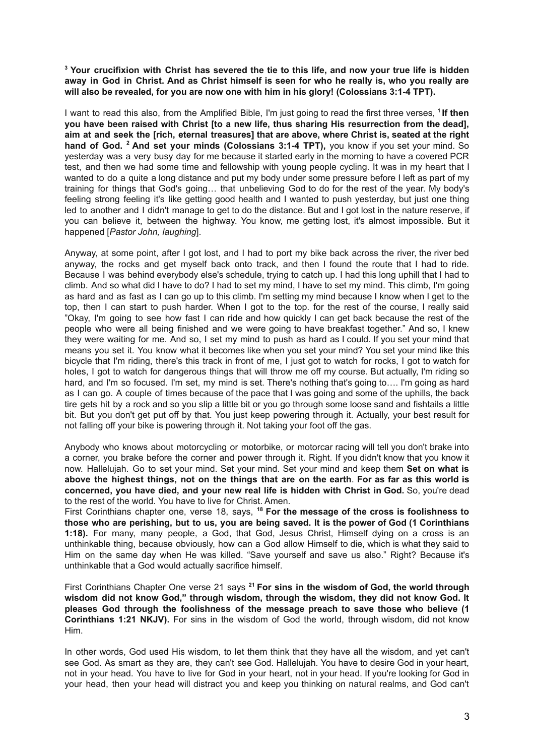<sup>3</sup> Your crucifixion with Christ has severed the tie to this life, and now your true life is hidden away in God in Christ. And as Christ himself is seen for who he really is, who you really are **will also be revealed, for you are now one with him in his glory! (Colossians 3:1-4 TPT).**

I want to read this also, from the Amplified Bible, I'm just going to read the first three verses, <sup>1</sup> If then **you have been raised with Christ [to a new life, thus sharing His resurrection from the dead], aim at and seek the [rich, eternal treasures] that are above, where Christ is, seated at the right hand of God. <sup>2</sup> And set your minds (Colossians 3:1-4 TPT),** you know if you set your mind. So yesterday was a very busy day for me because it started early in the morning to have a covered PCR test, and then we had some time and fellowship with young people cycling. It was in my heart that I wanted to do a quite a long distance and put my body under some pressure before I left as part of my training for things that God's going… that unbelieving God to do for the rest of the year. My body's feeling strong feeling it's like getting good health and I wanted to push yesterday, but just one thing led to another and I didn't manage to get to do the distance. But and I got lost in the nature reserve, if you can believe it, between the highway. You know, me getting lost, it's almost impossible. But it happened [*Pastor John, laughing*].

Anyway, at some point, after I got lost, and I had to port my bike back across the river, the river bed anyway, the rocks and get myself back onto track, and then I found the route that I had to ride. Because I was behind everybody else's schedule, trying to catch up. I had this long uphill that I had to climb. And so what did I have to do? I had to set my mind, I have to set my mind. This climb, I'm going as hard and as fast as I can go up to this climb. I'm setting my mind because I know when I get to the top, then I can start to push harder. When I got to the top. for the rest of the course, I really said "Okay, I'm going to see how fast I can ride and how quickly I can get back because the rest of the people who were all being finished and we were going to have breakfast together." And so, I knew they were waiting for me. And so, I set my mind to push as hard as I could. If you set your mind that means you set it. You know what it becomes like when you set your mind? You set your mind like this bicycle that I'm riding, there's this track in front of me, I just got to watch for rocks, I got to watch for holes, I got to watch for dangerous things that will throw me off my course. But actually, I'm riding so hard, and I'm so focused. I'm set, my mind is set. There's nothing that's going to.... I'm going as hard as I can go. A couple of times because of the pace that I was going and some of the uphills, the back tire gets hit by a rock and so you slip a little bit or you go through some loose sand and fishtails a little bit. But you don't get put off by that. You just keep powering through it. Actually, your best result for not falling off your bike is powering through it. Not taking your foot off the gas.

Anybody who knows about motorcycling or motorbike, or motorcar racing will tell you don't brake into a corner, you brake before the corner and power through it. Right. If you didn't know that you know it now. Hallelujah. Go to set your mind. Set your mind. Set your mind and keep them **Set on what is** above the highest things, not on the things that are on the earth. For as far as this world is **concerned, you have died, and your new real life is hidden with Christ in God.** So, you're dead to the rest of the world. You have to live for Christ. Amen.

First Corinthians chapter one, verse 18, says, **<sup>18</sup> For the message of the cross is foolishness to** those who are perishing, but to us, you are being saved. It is the power of God (1 Corinthians **1:18).** For many, many people, a God, that God, Jesus Christ, Himself dying on a cross is an unthinkable thing, because obviously, how can a God allow Himself to die, which is what they said to Him on the same day when He was killed. "Save yourself and save us also." Right? Because it's unthinkable that a God would actually sacrifice himself.

First Corinthians Chapter One verse 21 says **<sup>21</sup> For sins in the wisdom of God, the world through wisdom did not know God," through wisdom, through the wisdom, they did not know God. It pleases God through the foolishness of the message preach to save those who believe (1 Corinthians 1:21 NKJV).** For sins in the wisdom of God the world, through wisdom, did not know Him.

In other words, God used His wisdom, to let them think that they have all the wisdom, and yet can't see God. As smart as they are, they can't see God. Hallelujah. You have to desire God in your heart, not in your head. You have to live for God in your heart, not in your head. If you're looking for God in your head, then your head will distract you and keep you thinking on natural realms, and God can't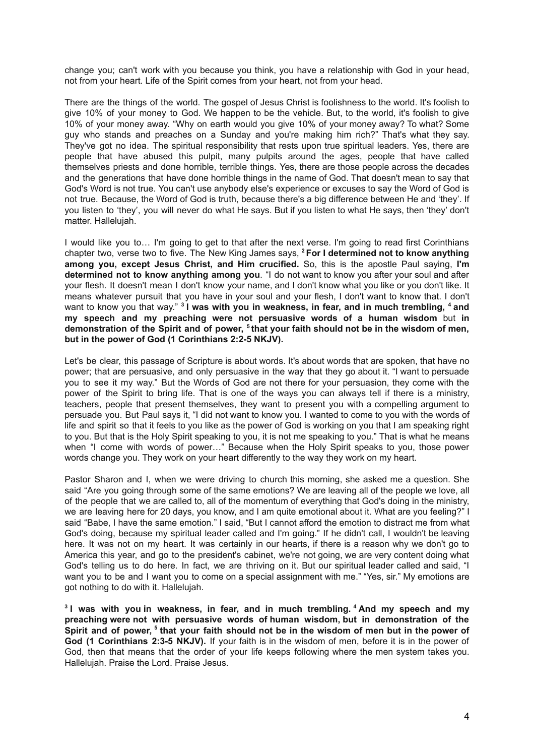change you; can't work with you because you think, you have a relationship with God in your head, not from your heart. Life of the Spirit comes from your heart, not from your head.

There are the things of the world. The gospel of Jesus Christ is foolishness to the world. It's foolish to give 10% of your money to God. We happen to be the vehicle. But, to the world, it's foolish to give 10% of your money away. "Why on earth would you give 10% of your money away? To what? Some guy who stands and preaches on a Sunday and you're making him rich?" That's what they say. They've got no idea. The spiritual responsibility that rests upon true spiritual leaders. Yes, there are people that have abused this pulpit, many pulpits around the ages, people that have called themselves priests and done horrible, terrible things. Yes, there are those people across the decades and the generations that have done horrible things in the name of God. That doesn't mean to say that God's Word is not true. You can't use anybody else's experience or excuses to say the Word of God is not true. Because, the Word of God is truth, because there's a big difference between He and 'they'. If you listen to 'they', you will never do what He says. But if you listen to what He says, then 'they' don't matter. Hallelujah.

I would like you to… I'm going to get to that after the next verse. I'm going to read first Corinthians chapter two, verse two to five. The New King James says, **<sup>2</sup> For I determined not to know anything among you, except Jesus Christ, and Him crucified.** So, this is the apostle Paul saying, **I'm determined not to know anything among you**. "I do not want to know you after your soul and after your flesh. It doesn't mean I don't know your name, and I don't know what you like or you don't like. It means whatever pursuit that you have in your soul and your flesh, I don't want to know that. I don't want to know you that way." **3 I was with you in weakness, in fear, and in much trembling, <sup>4</sup> and my speech and my preaching were not persuasive words of a human wisdom** but **in** demonstration of the Spirit and of power, <sup>5</sup> that your faith should not be in the wisdom of men, **but in the power of God (1 Corinthians 2:2-5 NKJV).**

Let's be clear, this passage of Scripture is about words. It's about words that are spoken, that have no power; that are persuasive, and only persuasive in the way that they go about it. "I want to persuade you to see it my way." But the Words of God are not there for your persuasion, they come with the power of the Spirit to bring life. That is one of the ways you can always tell if there is a ministry, teachers, people that present themselves, they want to present you with a compelling argument to persuade you. But Paul says it, "I did not want to know you. I wanted to come to you with the words of life and spirit so that it feels to you like as the power of God is working on you that I am speaking right to you. But that is the Holy Spirit speaking to you, it is not me speaking to you." That is what he means when "I come with words of power…" Because when the Holy Spirit speaks to you, those power words change you. They work on your heart differently to the way they work on my heart.

Pastor Sharon and I, when we were driving to church this morning, she asked me a question. She said "Are you going through some of the same emotions? We are leaving all of the people we love, all of the people that we are called to, all of the momentum of everything that God's doing in the ministry, we are leaving here for 20 days, you know, and I am quite emotional about it. What are you feeling?" I said "Babe, I have the same emotion." I said, "But I cannot afford the emotion to distract me from what God's doing, because my spiritual leader called and I'm going." If he didn't call, I wouldn't be leaving here. It was not on my heart. It was certainly in our hearts, if there is a reason why we don't go to America this year, and go to the president's cabinet, we're not going, we are very content doing what God's telling us to do here. In fact, we are thriving on it. But our spiritual leader called and said, "I want you to be and I want you to come on a special assignment with me." "Yes, sir." My emotions are got nothing to do with it. Hallelujah.

**3 I was with you in weakness, in fear, and in much trembling. <sup>4</sup> And my speech and my preaching were not with persuasive words of human wisdom, but in demonstration of the** Spirit and of power, <sup>5</sup> that your faith should not be in the wisdom of men but in the power of **God (1 Corinthians 2:3-5 NKJV).** If your faith is in the wisdom of men, before it is in the power of God, then that means that the order of your life keeps following where the men system takes you. Hallelujah. Praise the Lord. Praise Jesus.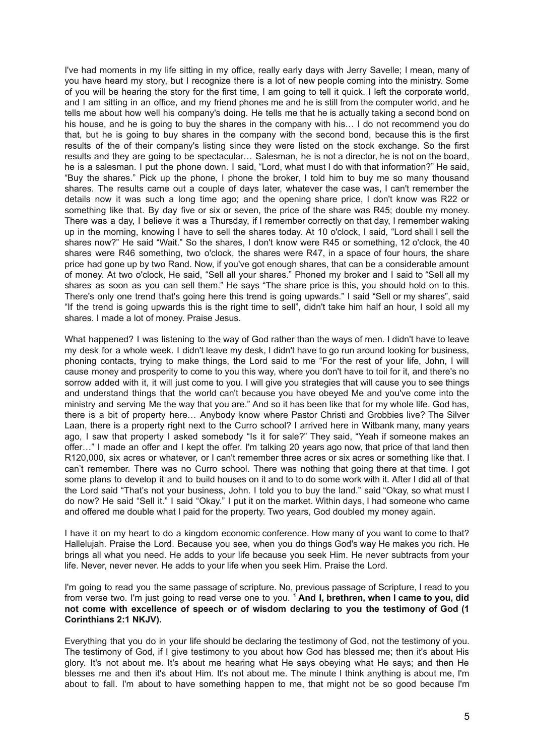I've had moments in my life sitting in my office, really early days with Jerry Savelle; I mean, many of you have heard my story, but I recognize there is a lot of new people coming into the ministry. Some of you will be hearing the story for the first time, I am going to tell it quick. I left the corporate world, and I am sitting in an office, and my friend phones me and he is still from the computer world, and he tells me about how well his company's doing. He tells me that he is actually taking a second bond on his house, and he is going to buy the shares in the company with his… I do not recommend you do that, but he is going to buy shares in the company with the second bond, because this is the first results of the of their company's listing since they were listed on the stock exchange. So the first results and they are going to be spectacular… Salesman, he is not a director, he is not on the board, he is a salesman. I put the phone down. I said, "Lord, what must I do with that information?" He said, "Buy the shares." Pick up the phone, I phone the broker, I told him to buy me so many thousand shares. The results came out a couple of days later, whatever the case was, I can't remember the details now it was such a long time ago; and the opening share price, I don't know was R22 or something like that. By day five or six or seven, the price of the share was R45; double my money. There was a day, I believe it was a Thursday, if I remember correctly on that day, I remember waking up in the morning, knowing I have to sell the shares today. At 10 o'clock, I said, "Lord shall I sell the shares now?" He said "Wait." So the shares, I don't know were R45 or something, 12 o'clock, the 40 shares were R46 something, two o'clock, the shares were R47, in a space of four hours, the share price had gone up by two Rand. Now, if you've got enough shares, that can be a considerable amount of money. At two o'clock, He said, "Sell all your shares." Phoned my broker and I said to "Sell all my shares as soon as you can sell them." He says "The share price is this, you should hold on to this. There's only one trend that's going here this trend is going upwards." I said "Sell or my shares", said "If the trend is going upwards this is the right time to sell", didn't take him half an hour, I sold all my shares. I made a lot of money. Praise Jesus.

What happened? I was listening to the way of God rather than the ways of men. I didn't have to leave my desk for a whole week. I didn't leave my desk, I didn't have to go run around looking for business, phoning contacts, trying to make things, the Lord said to me "For the rest of your life, John, I will cause money and prosperity to come to you this way, where you don't have to toil for it, and there's no sorrow added with it, it will just come to you. I will give you strategies that will cause you to see things and understand things that the world can't because you have obeyed Me and you've come into the ministry and serving Me the way that you are." And so it has been like that for my whole life. God has, there is a bit of property here… Anybody know where Pastor Christi and Grobbies live? The Silver Laan, there is a property right next to the Curro school? I arrived here in Witbank many, many years ago, I saw that property I asked somebody "Is it for sale?" They said, "Yeah if someone makes an offer…" I made an offer and I kept the offer. I'm talking 20 years ago now, that price of that land then R120,000, six acres or whatever, or I can't remember three acres or six acres or something like that. I can't remember. There was no Curro school. There was nothing that going there at that time. I got some plans to develop it and to build houses on it and to to do some work with it. After I did all of that the Lord said "That's not your business, John. I told you to buy the land." said "Okay, so what must I do now? He said "Sell it." I said "Okay." I put it on the market. Within days, I had someone who came and offered me double what I paid for the property. Two years, God doubled my money again.

I have it on my heart to do a kingdom economic conference. How many of you want to come to that? Hallelujah. Praise the Lord. Because you see, when you do things God's way He makes you rich. He brings all what you need. He adds to your life because you seek Him. He never subtracts from your life. Never, never never. He adds to your life when you seek Him. Praise the Lord.

I'm going to read you the same passage of scripture. No, previous passage of Scripture, I read to you from verse two. I'm just going to read verse one to you. **<sup>1</sup> And I, brethren, when I came to you, did not come with excellence of speech or of wisdom declaring to you the testimony of God (1 Corinthians 2:1 NKJV).**

Everything that you do in your life should be declaring the testimony of God, not the testimony of you. The testimony of God, if I give testimony to you about how God has blessed me; then it's about His glory. It's not about me. It's about me hearing what He says obeying what He says; and then He blesses me and then it's about Him. It's not about me. The minute I think anything is about me, I'm about to fall. I'm about to have something happen to me, that might not be so good because I'm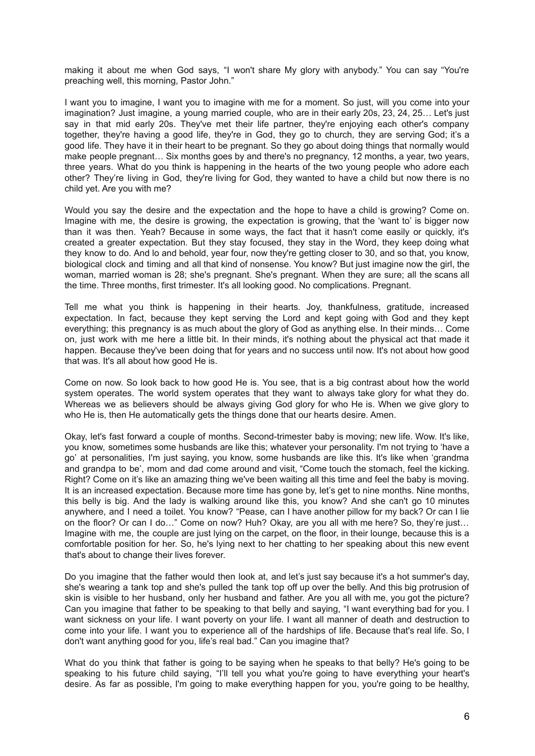making it about me when God says, "I won't share My glory with anybody." You can say "You're preaching well, this morning, Pastor John."

I want you to imagine, I want you to imagine with me for a moment. So just, will you come into your imagination? Just imagine, a young married couple, who are in their early 20s, 23, 24, 25… Let's just say in that mid early 20s. They've met their life partner, they're enjoying each other's company together, they're having a good life, they're in God, they go to church, they are serving God; it's a good life. They have it in their heart to be pregnant. So they go about doing things that normally would make people pregnant… Six months goes by and there's no pregnancy, 12 months, a year, two years, three years. What do you think is happening in the hearts of the two young people who adore each other? They're living in God, they're living for God, they wanted to have a child but now there is no child yet. Are you with me?

Would you say the desire and the expectation and the hope to have a child is growing? Come on. Imagine with me, the desire is growing, the expectation is growing, that the 'want to' is bigger now than it was then. Yeah? Because in some ways, the fact that it hasn't come easily or quickly, it's created a greater expectation. But they stay focused, they stay in the Word, they keep doing what they know to do. And lo and behold, year four, now they're getting closer to 30, and so that, you know, biological clock and timing and all that kind of nonsense. You know? But just imagine now the girl, the woman, married woman is 28; she's pregnant. She's pregnant. When they are sure; all the scans all the time. Three months, first trimester. It's all looking good. No complications. Pregnant.

Tell me what you think is happening in their hearts. Joy, thankfulness, gratitude, increased expectation. In fact, because they kept serving the Lord and kept going with God and they kept everything; this pregnancy is as much about the glory of God as anything else. In their minds… Come on, just work with me here a little bit. In their minds, it's nothing about the physical act that made it happen. Because they've been doing that for years and no success until now. It's not about how good that was. It's all about how good He is.

Come on now. So look back to how good He is. You see, that is a big contrast about how the world system operates. The world system operates that they want to always take glory for what they do. Whereas we as believers should be always giving God glory for who He is. When we give glory to who He is, then He automatically gets the things done that our hearts desire. Amen.

Okay, let's fast forward a couple of months. Second-trimester baby is moving; new life. Wow. It's like, you know, sometimes some husbands are like this; whatever your personality. I'm not trying to 'have a go' at personalities, I'm just saying, you know, some husbands are like this. It's like when 'grandma and grandpa to be', mom and dad come around and visit, "Come touch the stomach, feel the kicking. Right? Come on it's like an amazing thing we've been waiting all this time and feel the baby is moving. It is an increased expectation. Because more time has gone by, let's get to nine months. Nine months, this belly is big. And the lady is walking around like this, you know? And she can't go 10 minutes anywhere, and I need a toilet. You know? "Pease, can I have another pillow for my back? Or can I lie on the floor? Or can I do…" Come on now? Huh? Okay, are you all with me here? So, they're just… Imagine with me, the couple are just lying on the carpet, on the floor, in their lounge, because this is a comfortable position for her. So, he's lying next to her chatting to her speaking about this new event that's about to change their lives forever.

Do you imagine that the father would then look at, and let's just say because it's a hot summer's day, she's wearing a tank top and she's pulled the tank top off up over the belly. And this big protrusion of skin is visible to her husband, only her husband and father. Are you all with me, you got the picture? Can you imagine that father to be speaking to that belly and saying, "I want everything bad for you. I want sickness on your life. I want poverty on your life. I want all manner of death and destruction to come into your life. I want you to experience all of the hardships of life. Because that's real life. So, I don't want anything good for you, life's real bad." Can you imagine that?

What do you think that father is going to be saying when he speaks to that belly? He's going to be speaking to his future child saying, "I'll tell you what you're going to have everything your heart's desire. As far as possible, I'm going to make everything happen for you, you're going to be healthy,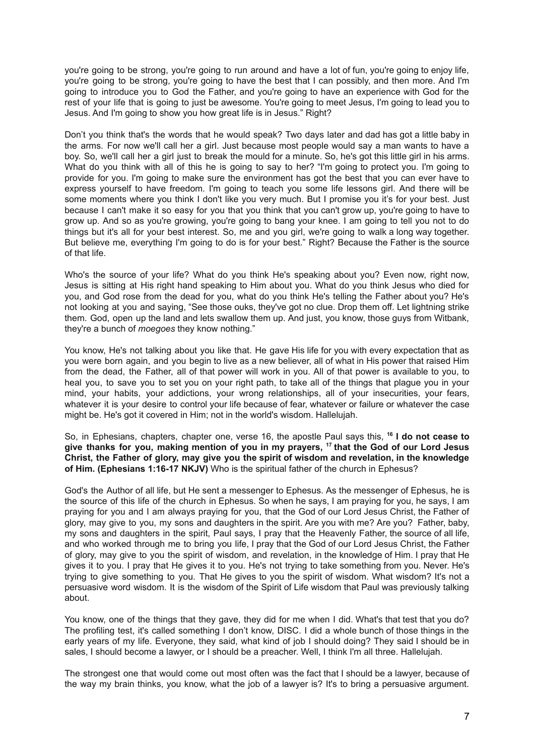you're going to be strong, you're going to run around and have a lot of fun, you're going to enjoy life, you're going to be strong, you're going to have the best that I can possibly, and then more. And I'm going to introduce you to God the Father, and you're going to have an experience with God for the rest of your life that is going to just be awesome. You're going to meet Jesus, I'm going to lead you to Jesus. And I'm going to show you how great life is in Jesus." Right?

Don't you think that's the words that he would speak? Two days later and dad has got a little baby in the arms. For now we'll call her a girl. Just because most people would say a man wants to have a boy. So, we'll call her a girl just to break the mould for a minute. So, he's got this little girl in his arms. What do you think with all of this he is going to say to her? "I'm going to protect you. I'm going to provide for you. I'm going to make sure the environment has got the best that you can ever have to express yourself to have freedom. I'm going to teach you some life lessons girl. And there will be some moments where you think I don't like you very much. But I promise you it's for your best. Just because I can't make it so easy for you that you think that you can't grow up, you're going to have to grow up. And so as you're growing, you're going to bang your knee. I am going to tell you not to do things but it's all for your best interest. So, me and you girl, we're going to walk a long way together. But believe me, everything I'm going to do is for your best." Right? Because the Father is the source of that life.

Who's the source of your life? What do you think He's speaking about you? Even now, right now, Jesus is sitting at His right hand speaking to Him about you. What do you think Jesus who died for you, and God rose from the dead for you, what do you think He's telling the Father about you? He's not looking at you and saying, "See those ouks, they've got no clue. Drop them off. Let lightning strike them. God, open up the land and lets swallow them up. And just, you know, those guys from Witbank, they're a bunch of *moegoes* they know nothing."

You know, He's not talking about you like that. He gave His life for you with every expectation that as you were born again, and you begin to live as a new believer, all of what in His power that raised Him from the dead, the Father, all of that power will work in you. All of that power is available to you, to heal you, to save you to set you on your right path, to take all of the things that plague you in your mind, your habits, your addictions, your wrong relationships, all of your insecurities, your fears, whatever it is your desire to control your life because of fear, whatever or failure or whatever the case might be. He's got it covered in Him; not in the world's wisdom. Hallelujah.

So, in Ephesians, chapters, chapter one, verse 16, the apostle Paul says this, **<sup>16</sup> I do not cease to give thanks for you, making mention of you in my prayers, <sup>17</sup> that the God of our Lord Jesus Christ, the Father of glory, may give you the spirit of wisdom and revelation, in the knowledge of Him. (Ephesians 1:16-17 NKJV)** Who is the spiritual father of the church in Ephesus?

God's the Author of all life, but He sent a messenger to Ephesus. As the messenger of Ephesus, he is the source of this life of the church in Ephesus. So when he says, I am praying for you, he says, I am praying for you and I am always praying for you, that the God of our Lord Jesus Christ, the Father of glory, may give to you, my sons and daughters in the spirit. Are you with me? Are you? Father, baby, my sons and daughters in the spirit, Paul says, I pray that the Heavenly Father, the source of all life, and who worked through me to bring you life, I pray that the God of our Lord Jesus Christ, the Father of glory, may give to you the spirit of wisdom, and revelation, in the knowledge of Him. I pray that He gives it to you. I pray that He gives it to you. He's not trying to take something from you. Never. He's trying to give something to you. That He gives to you the spirit of wisdom. What wisdom? It's not a persuasive word wisdom. It is the wisdom of the Spirit of Life wisdom that Paul was previously talking about.

You know, one of the things that they gave, they did for me when I did. What's that test that you do? The profiling test, it's called something I don't know, DISC. I did a whole bunch of those things in the early years of my life. Everyone, they said, what kind of job I should doing? They said I should be in sales, I should become a lawyer, or I should be a preacher. Well, I think I'm all three. Hallelujah.

The strongest one that would come out most often was the fact that I should be a lawyer, because of the way my brain thinks, you know, what the job of a lawyer is? It's to bring a persuasive argument.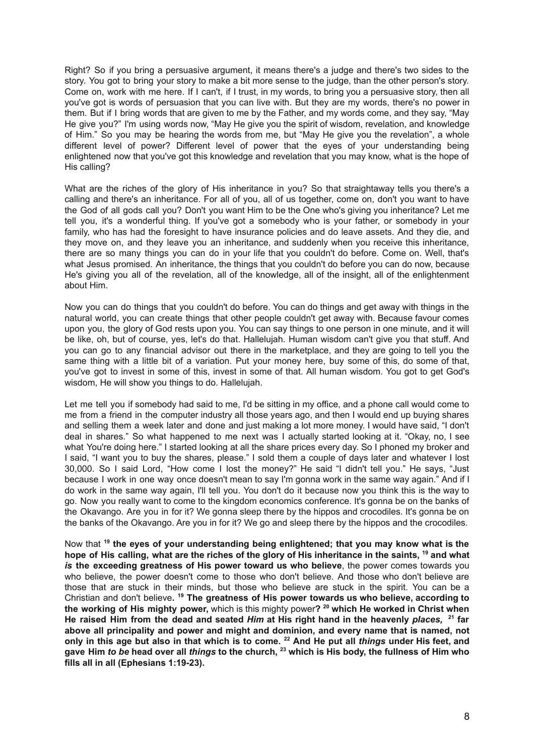Right? So if you bring a persuasive argument, it means there's a judge and there's two sides to the story. You got to bring your story to make a bit more sense to the judge, than the other person's story. Come on, work with me here. If I can't, if I trust, in my words, to bring you a persuasive story, then all you've got is words of persuasion that you can live with. But they are my words, there's no power in them. But if I bring words that are given to me by the Father, and my words come, and they say, "May He give you?" I'm using words now, "May He give you the spirit of wisdom, revelation, and knowledge of Him." So you may be hearing the words from me, but "May He give you the revelation", a whole different level of power? Different level of power that the eyes of your understanding being enlightened now that you've got this knowledge and revelation that you may know, what is the hope of His calling?

What are the riches of the glory of His inheritance in you? So that straightaway tells you there's a calling and there's an inheritance. For all of you, all of us together, come on, don't you want to have the God of all gods call you? Don't you want Him to be the One who's giving you inheritance? Let me tell you, it's a wonderful thing. If you've got a somebody who is your father, or somebody in your family, who has had the foresight to have insurance policies and do leave assets. And they die, and they move on, and they leave you an inheritance, and suddenly when you receive this inheritance, there are so many things you can do in your life that you couldn't do before. Come on. Well, that's what Jesus promised. An inheritance, the things that you couldn't do before you can do now, because He's giving you all of the revelation, all of the knowledge, all of the insight, all of the enlightenment about Him.

Now you can do things that you couldn't do before. You can do things and get away with things in the natural world, you can create things that other people couldn't get away with. Because favour comes upon you, the glory of God rests upon you. You can say things to one person in one minute, and it will be like, oh, but of course, yes, let's do that. Hallelujah. Human wisdom can't give you that stuff. And you can go to any financial advisor out there in the marketplace, and they are going to tell you the same thing with a little bit of a variation. Put your money here, buy some of this, do some of that, you've got to invest in some of this, invest in some of that. All human wisdom. You got to get God's wisdom, He will show you things to do. Hallelujah.

Let me tell you if somebody had said to me, I'd be sitting in my office, and a phone call would come to me from a friend in the computer industry all those years ago, and then I would end up buying shares and selling them a week later and done and just making a lot more money. I would have said, "I don't deal in shares." So what happened to me next was I actually started looking at it. "Okay, no, I see what You're doing here." I started looking at all the share prices every day. So I phoned my broker and I said, "I want you to buy the shares, please." I sold them a couple of days later and whatever I lost 30,000. So I said Lord, "How come I lost the money?" He said "I didn't tell you." He says, "Just because I work in one way once doesn't mean to say I'm gonna work in the same way again." And if I do work in the same way again, I'll tell you. You don't do it because now you think this is the way to go. Now you really want to come to the kingdom economics conference. It's gonna be on the banks of the Okavango. Are you in for it? We gonna sleep there by the hippos and crocodiles. It's gonna be on the banks of the Okavango. Are you in for it? We go and sleep there by the hippos and the crocodiles.

Now that **<sup>19</sup> the eyes of your understanding being enlightened; that you may know what is the** hope of His calling, what are the riches of the glory of His inheritance in the saints, <sup>19</sup> and what *is* **the exceeding greatness of His power toward us who believe**, the power comes towards you who believe, the power doesn't come to those who don't believe. And those who don't believe are those that are stuck in their minds, but those who believe are stuck in the spirit. You can be a Christian and don't believe**. <sup>19</sup> The greatness of His power towards us who believe, according to the working of His mighty power,** which is this mighty power**? <sup>20</sup> which He worked in Christ when He raised Him from the dead and seated** *Him* **at His right hand in the heavenly** *places,* **<sup>21</sup> far above all principality and power and might and dominion, and every name that is named, not** only in this age but also in that which is to come. <sup>22</sup> And He put all things under His feet, and gave Him *to be* head over all *things* to the church,  $^{23}$  which is His body, the fullness of Him who **fills all in all (Ephesians 1:19-23).**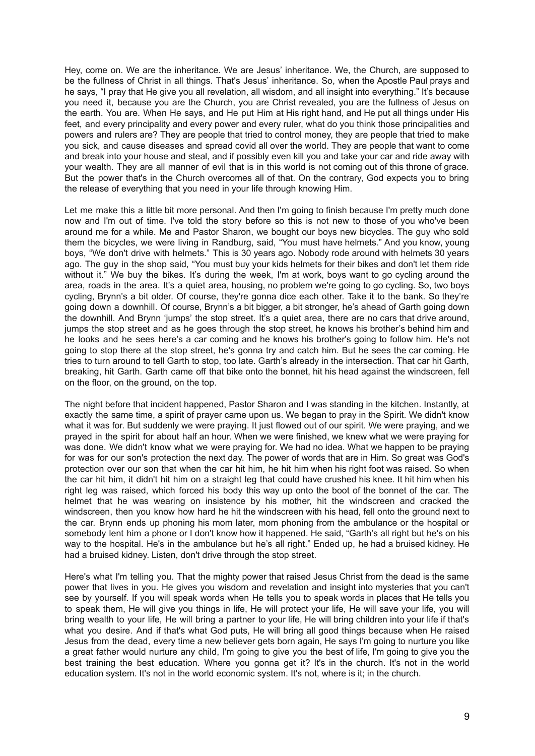Hey, come on. We are the inheritance. We are Jesus' inheritance. We, the Church, are supposed to be the fullness of Christ in all things. That's Jesus' inheritance. So, when the Apostle Paul prays and he says, "I pray that He give you all revelation, all wisdom, and all insight into everything." It's because you need it, because you are the Church, you are Christ revealed, you are the fullness of Jesus on the earth. You are. When He says, and He put Him at His right hand, and He put all things under His feet, and every principality and every power and every ruler, what do you think those principalities and powers and rulers are? They are people that tried to control money, they are people that tried to make you sick, and cause diseases and spread covid all over the world. They are people that want to come and break into your house and steal, and if possibly even kill you and take your car and ride away with your wealth. They are all manner of evil that is in this world is not coming out of this throne of grace. But the power that's in the Church overcomes all of that. On the contrary, God expects you to bring the release of everything that you need in your life through knowing Him.

Let me make this a little bit more personal. And then I'm going to finish because I'm pretty much done now and I'm out of time. I've told the story before so this is not new to those of you who've been around me for a while. Me and Pastor Sharon, we bought our boys new bicycles. The guy who sold them the bicycles, we were living in Randburg, said, "You must have helmets." And you know, young boys, "We don't drive with helmets." This is 30 years ago. Nobody rode around with helmets 30 years ago. The guy in the shop said, "You must buy your kids helmets for their bikes and don't let them ride without it." We buy the bikes. It's during the week, I'm at work, boys want to go cycling around the area, roads in the area. It's a quiet area, housing, no problem we're going to go cycling. So, two boys cycling, Brynn's a bit older. Of course, they're gonna dice each other. Take it to the bank. So they're going down a downhill. Of course, Brynn's a bit bigger, a bit stronger, he's ahead of Garth going down the downhill. And Brynn 'jumps' the stop street. It's a quiet area, there are no cars that drive around, jumps the stop street and as he goes through the stop street, he knows his brother's behind him and he looks and he sees here's a car coming and he knows his brother's going to follow him. He's not going to stop there at the stop street, he's gonna try and catch him. But he sees the car coming. He tries to turn around to tell Garth to stop, too late. Garth's already in the intersection. That car hit Garth, breaking, hit Garth. Garth came off that bike onto the bonnet, hit his head against the windscreen, fell on the floor, on the ground, on the top.

The night before that incident happened, Pastor Sharon and I was standing in the kitchen. Instantly, at exactly the same time, a spirit of prayer came upon us. We began to pray in the Spirit. We didn't know what it was for. But suddenly we were praying. It just flowed out of our spirit. We were praying, and we prayed in the spirit for about half an hour. When we were finished, we knew what we were praying for was done. We didn't know what we were praying for. We had no idea. What we happen to be praying for was for our son's protection the next day. The power of words that are in Him. So great was God's protection over our son that when the car hit him, he hit him when his right foot was raised. So when the car hit him, it didn't hit him on a straight leg that could have crushed his knee. It hit him when his right leg was raised, which forced his body this way up onto the boot of the bonnet of the car. The helmet that he was wearing on insistence by his mother, hit the windscreen and cracked the windscreen, then you know how hard he hit the windscreen with his head, fell onto the ground next to the car. Brynn ends up phoning his mom later, mom phoning from the ambulance or the hospital or somebody lent him a phone or I don't know how it happened. He said, "Garth's all right but he's on his way to the hospital. He's in the ambulance but he's all right." Ended up, he had a bruised kidney. He had a bruised kidney. Listen, don't drive through the stop street.

Here's what I'm telling you. That the mighty power that raised Jesus Christ from the dead is the same power that lives in you. He gives you wisdom and revelation and insight into mysteries that you can't see by yourself. If you will speak words when He tells you to speak words in places that He tells you to speak them, He will give you things in life, He will protect your life, He will save your life, you will bring wealth to your life, He will bring a partner to your life, He will bring children into your life if that's what you desire. And if that's what God puts, He will bring all good things because when He raised Jesus from the dead, every time a new believer gets born again, He says I'm going to nurture you like a great father would nurture any child, I'm going to give you the best of life, I'm going to give you the best training the best education. Where you gonna get it? It's in the church. It's not in the world education system. It's not in the world economic system. It's not, where is it; in the church.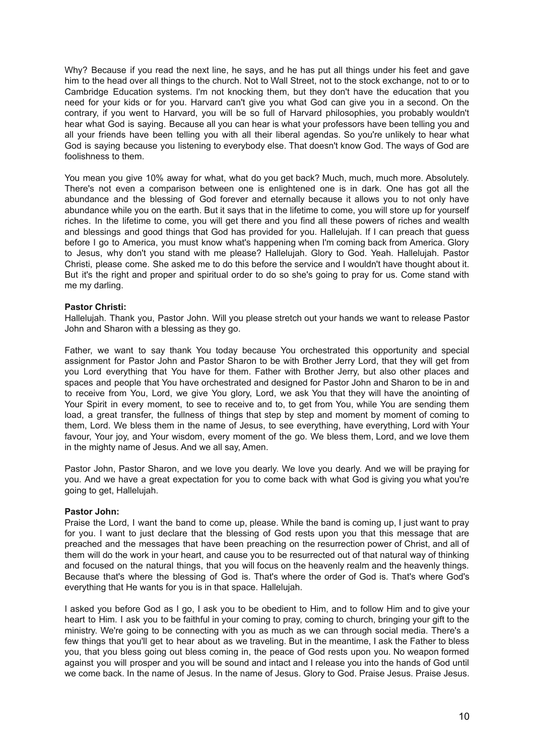Why? Because if you read the next line, he says, and he has put all things under his feet and gave him to the head over all things to the church. Not to Wall Street, not to the stock exchange, not to or to Cambridge Education systems. I'm not knocking them, but they don't have the education that you need for your kids or for you. Harvard can't give you what God can give you in a second. On the contrary, if you went to Harvard, you will be so full of Harvard philosophies, you probably wouldn't hear what God is saying. Because all you can hear is what your professors have been telling you and all your friends have been telling you with all their liberal agendas. So you're unlikely to hear what God is saying because you listening to everybody else. That doesn't know God. The ways of God are foolishness to them.

You mean you give 10% away for what, what do you get back? Much, much, much more. Absolutely. There's not even a comparison between one is enlightened one is in dark. One has got all the abundance and the blessing of God forever and eternally because it allows you to not only have abundance while you on the earth. But it says that in the lifetime to come, you will store up for yourself riches. In the lifetime to come, you will get there and you find all these powers of riches and wealth and blessings and good things that God has provided for you. Hallelujah. If I can preach that guess before I go to America, you must know what's happening when I'm coming back from America. Glory to Jesus, why don't you stand with me please? Hallelujah. Glory to God. Yeah. Hallelujah. Pastor Christi, please come. She asked me to do this before the service and I wouldn't have thought about it. But it's the right and proper and spiritual order to do so she's going to pray for us. Come stand with me my darling.

### **Pastor Christi:**

Hallelujah. Thank you, Pastor John. Will you please stretch out your hands we want to release Pastor John and Sharon with a blessing as they go.

Father, we want to say thank You today because You orchestrated this opportunity and special assignment for Pastor John and Pastor Sharon to be with Brother Jerry Lord, that they will get from you Lord everything that You have for them. Father with Brother Jerry, but also other places and spaces and people that You have orchestrated and designed for Pastor John and Sharon to be in and to receive from You, Lord, we give You glory, Lord, we ask You that they will have the anointing of Your Spirit in every moment, to see to receive and to, to get from You, while You are sending them load, a great transfer, the fullness of things that step by step and moment by moment of coming to them, Lord. We bless them in the name of Jesus, to see everything, have everything, Lord with Your favour, Your joy, and Your wisdom, every moment of the go. We bless them, Lord, and we love them in the mighty name of Jesus. And we all say, Amen.

Pastor John, Pastor Sharon, and we love you dearly. We love you dearly. And we will be praying for you. And we have a great expectation for you to come back with what God is giving you what you're going to get, Hallelujah.

#### **Pastor John:**

Praise the Lord, I want the band to come up, please. While the band is coming up, I just want to pray for you. I want to just declare that the blessing of God rests upon you that this message that are preached and the messages that have been preaching on the resurrection power of Christ, and all of them will do the work in your heart, and cause you to be resurrected out of that natural way of thinking and focused on the natural things, that you will focus on the heavenly realm and the heavenly things. Because that's where the blessing of God is. That's where the order of God is. That's where God's everything that He wants for you is in that space. Hallelujah.

I asked you before God as I go, I ask you to be obedient to Him, and to follow Him and to give your heart to Him. I ask you to be faithful in your coming to pray, coming to church, bringing your gift to the ministry. We're going to be connecting with you as much as we can through social media. There's a few things that you'll get to hear about as we traveling. But in the meantime, I ask the Father to bless you, that you bless going out bless coming in, the peace of God rests upon you. No weapon formed against you will prosper and you will be sound and intact and I release you into the hands of God until we come back. In the name of Jesus. In the name of Jesus. Glory to God. Praise Jesus. Praise Jesus.